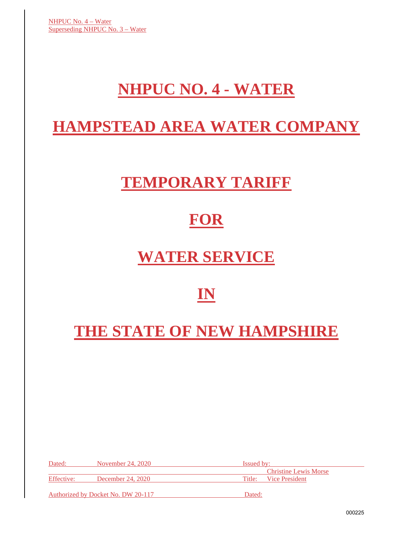# **NHPUC NO. 4 - WATER**

## **HAMPSTEAD AREA WATER COMPANY**

# **TEMPORARY TARIFF**

## **FOR**

# **WATER SERVICE**

### **IN**

# **THE STATE OF NEW HAMPSHIRE**

| Dated:     | November 24, 2020                  | <b>Issued by:</b>            |  |
|------------|------------------------------------|------------------------------|--|
|            |                                    | <b>Christine Lewis Morse</b> |  |
| Effective: | December 24, 2020                  | Title: Vice President        |  |
|            | Authorized by Docket No. DW 20-117 | Dated:                       |  |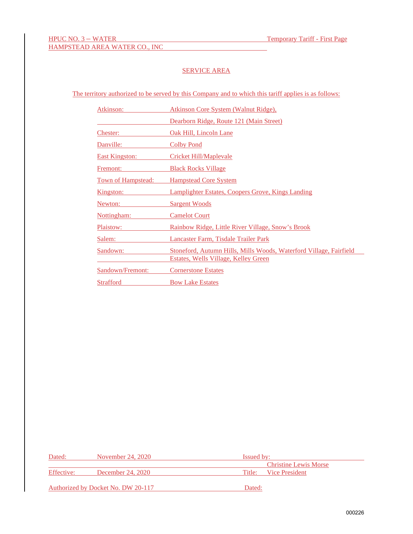### SERVICE AREA

The territory authorized to be served by this Company and to which this tariff applies is as follows:

| Atkinson:             | Atkinson Core System (Walnut Ridge),                               |
|-----------------------|--------------------------------------------------------------------|
|                       | Dearborn Ridge, Route 121 (Main Street)                            |
| Chester:              | Oak Hill, Lincoln Lane                                             |
| Danville:             | <b>Colby Pond</b>                                                  |
| <b>East Kingston:</b> | <b>Cricket Hill/Maplevale</b>                                      |
| Fremont:              | <b>Black Rocks Village</b>                                         |
| Town of Hampstead:    | <b>Hampstead Core System</b>                                       |
| <u>Kingston:</u>      | Lamplighter Estates, Coopers Grove, Kings Landing                  |
| Newton:               | <b>Sargent Woods</b>                                               |
| Nottingham:           | <b>Camelot Court</b>                                               |
| Plaistow:             | Rainbow Ridge, Little River Village, Snow's Brook                  |
| Salem:                | Lancaster Farm, Tisdale Trailer Park                               |
| Sandown:              | Stoneford, Autumn Hills, Mills Woods, Waterford Village, Fairfield |
|                       | <u>Estates, Wells Village, Kelley Green</u>                        |
| Sandown/Fremont:      | <b>Cornerstone Estates</b>                                         |
| <b>Strafford</b>      | <b>Bow Lake Estates</b>                                            |

| Dated:     | November 24, 2020                  | <b>Issued by:</b>            |  |
|------------|------------------------------------|------------------------------|--|
|            |                                    | <b>Christine Lewis Morse</b> |  |
| Effective: | December 24, 2020                  | Title: Vice President        |  |
|            | Authorized by Docket No. DW 20-117 | Dated:                       |  |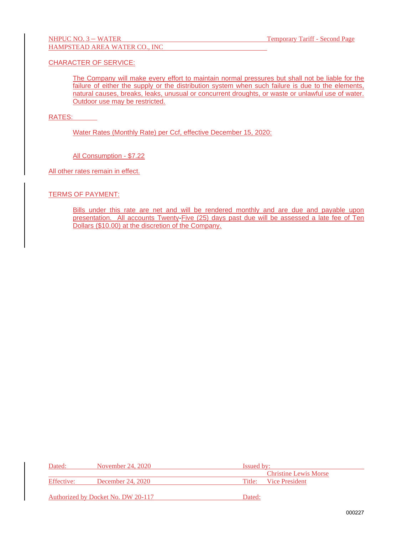### CHARACTER OF SERVICE:

The Company will make every effort to maintain normal pressures but shall not be liable for the failure of either the supply or the distribution system when such failure is due to the elements, natural causes, breaks, leaks, unusual or concurrent droughts, or waste or unlawful use of water. Outdoor use may be restricted.

#### RATES:

Water Rates (Monthly Rate) per Ccf, effective December 15, 2020:

All Consumption - \$7.22

All other rates remain in effect.

#### TERMS OF PAYMENT:

Bills under this rate are net and will be rendered monthly and are due and payable upon presentation. All accounts Twenty-Five (25) days past due will be assessed a late fee of Ten Dollars (\$10.00) at the discretion of the Company.

| Dated:     | November 24, 2020                  | <b>Issued by:</b> |                              |
|------------|------------------------------------|-------------------|------------------------------|
|            |                                    |                   | <b>Christine Lewis Morse</b> |
| Effective: | December 24, 2020                  |                   | Title: Vice President        |
|            | Authorized by Docket No. DW 20-117 | Dated:            |                              |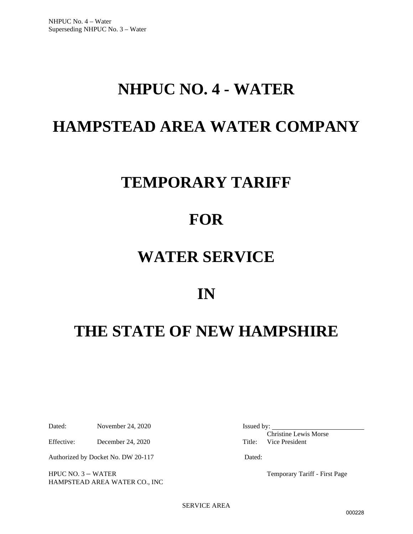## **NHPUC NO. 4 - WATER**

## **HAMPSTEAD AREA WATER COMPANY**

## **TEMPORARY TARIFF**

### **FOR**

### **WATER SERVICE**

### **IN**

# **THE STATE OF NEW HAMPSHIRE**

Dated: November 24, 2020 Issued by:

Effective: December 24, 2020 Title: Vice President

Authorized by Docket No. DW 20-117 Dated:

HPUC NO. 3 – WATER Temporary Tariff - First Page HAMPSTEAD AREA WATER CO., INC

Christine Lewis Morse

SERVICE AREA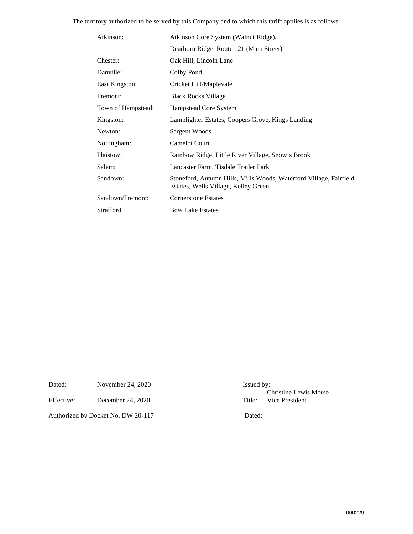The territory authorized to be served by this Company and to which this tariff applies is as follows:

| Atkinson:          | Atkinson Core System (Walnut Ridge),                                                                       |
|--------------------|------------------------------------------------------------------------------------------------------------|
|                    | Dearborn Ridge, Route 121 (Main Street)                                                                    |
| Chester:           | Oak Hill, Lincoln Lane                                                                                     |
| Danville:          | Colby Pond                                                                                                 |
| East Kingston:     | Cricket Hill/Maplevale                                                                                     |
| Fremont:           | <b>Black Rocks Village</b>                                                                                 |
| Town of Hampstead: | Hampstead Core System                                                                                      |
| Kingston:          | Lamplighter Estates, Coopers Grove, Kings Landing                                                          |
| Newton:            | Sargent Woods                                                                                              |
| Nottingham:        | <b>Camelot Court</b>                                                                                       |
| Plaistow:          | Rainbow Ridge, Little River Village, Snow's Brook                                                          |
| Salem:             | Lancaster Farm, Tisdale Trailer Park                                                                       |
| Sandown:           | Stoneford, Autumn Hills, Mills Woods, Waterford Village, Fairfield<br>Estates, Wells Village, Kelley Green |
| Sandown/Fremont:   | <b>Cornerstone Estates</b>                                                                                 |
| Strafford          | <b>Bow Lake Estates</b>                                                                                    |

Dated: November 24, 2020 Issued by:

Effective: December 24, 2020 Title:

Authorized by Docket No. DW 20-117 Dated:

Christine Lewis Morse